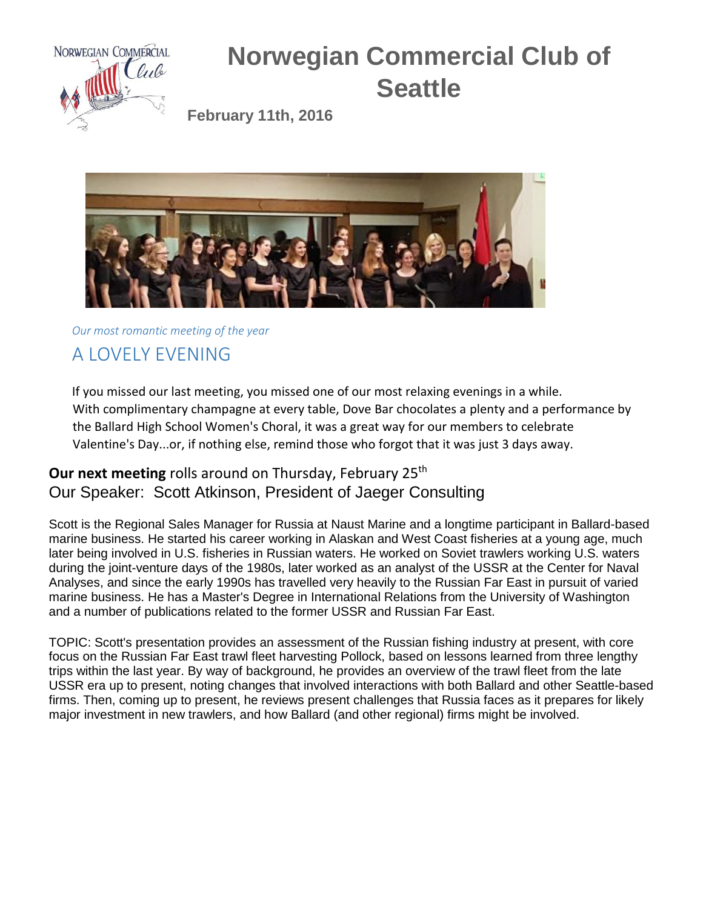

## **Norwegian Commercial Club of Seattle**

**February 11th, 2016**



*Our most romantic meeting of the year*

## A LOVELY EVENING

If you missed our last meeting, you missed one of our most relaxing evenings in a while. With complimentary champagne at every table, Dove Bar chocolates a plenty and a performance by the Ballard High School Women's Choral, it was a great way for our members to celebrate Valentine's Day...or, if nothing else, remind those who forgot that it was just 3 days away.

## **Our next meeting** rolls around on Thursday, February 25<sup>th</sup> Our Speaker: Scott Atkinson, President of Jaeger Consulting

Scott is the Regional Sales Manager for Russia at Naust Marine and a longtime participant in Ballard-based marine business. He started his career working in Alaskan and West Coast fisheries at a young age, much later being involved in U.S. fisheries in Russian waters. He worked on Soviet trawlers working U.S. waters during the joint-venture days of the 1980s, later worked as an analyst of the USSR at the Center for Naval Analyses, and since the early 1990s has travelled very heavily to the Russian Far East in pursuit of varied marine business. He has a Master's Degree in International Relations from the University of Washington and a number of publications related to the former USSR and Russian Far East.

TOPIC: Scott's presentation provides an assessment of the Russian fishing industry at present, with core focus on the Russian Far East trawl fleet harvesting Pollock, based on lessons learned from three lengthy trips within the last year. By way of background, he provides an overview of the trawl fleet from the late USSR era up to present, noting changes that involved interactions with both Ballard and other Seattle-based firms. Then, coming up to present, he reviews present challenges that Russia faces as it prepares for likely major investment in new trawlers, and how Ballard (and other regional) firms might be involved.